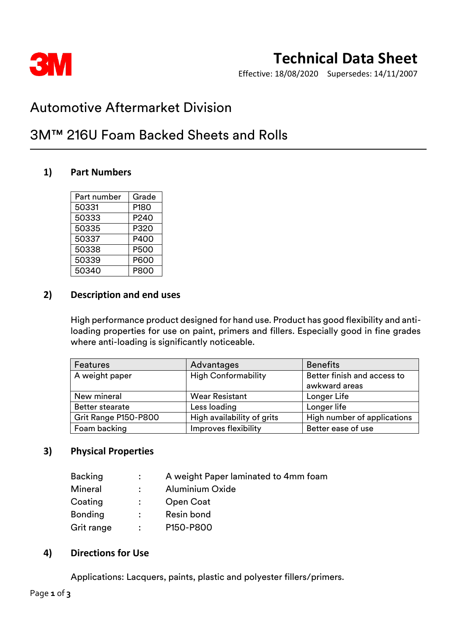

# **Technical Data Sheet**

Effective: 18/08/2020 Supersedes: 14/11/2007

## Automotive Aftermarket Division

## 3M™ 216U Foam Backed Sheets and Rolls

### **1) Part Numbers**

| Part number | Grade            |
|-------------|------------------|
| 50331       | P <sub>180</sub> |
| 50333       | P240             |
| 50335       | P320             |
| 50337       | P400             |
| 50338       | P500             |
| 50339       | P600             |
| 50340       | P800             |

### **2) Description and end uses**

High performance product designed for hand use. Product has good flexibility and antiloading properties for use on paint, primers and fillers. Especially good in fine grades where anti-loading is significantly noticeable.

| <b>Features</b>        | Advantages                 | <b>Benefits</b>             |
|------------------------|----------------------------|-----------------------------|
| A weight paper         | <b>High Conformability</b> | Better finish and access to |
|                        |                            | awkward areas               |
| New mineral            | <b>Wear Resistant</b>      | Longer Life                 |
| <b>Better stearate</b> | Less loading               | Longer life                 |
| Grit Range P150-P800   | High availability of grits | High number of applications |
| Foam backing           | Improves flexibility       | Better ease of use          |

### **3) Physical Properties**

|               | A weight Paper laminated to 4mm foam |
|---------------|--------------------------------------|
| $\mathcal{L}$ | <b>Aluminium Oxide</b>               |
|               | Open Coat                            |
| $\mathbf{L}$  | Resin bond                           |
| $\mathcal{L}$ | P150-P800                            |
|               |                                      |

### **4) Directions for Use**

Applications: Lacquers, paints, plastic and polyester fillers/primers.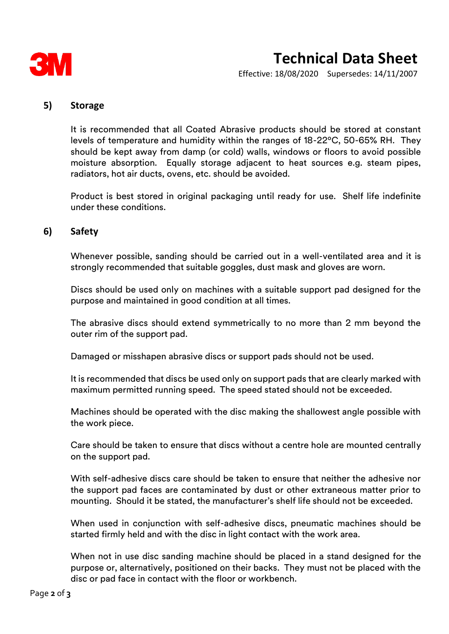

# **Technical Data Sheet**

Effective: 18/08/2020 Supersedes: 14/11/2007

#### **5) Storage**

It is recommended that all Coated Abrasive products should be stored at constant levels of temperature and humidity within the ranges of 18-22ºC, 50-65% RH. They should be kept away from damp (or cold) walls, windows or floors to avoid possible moisture absorption. Equally storage adjacent to heat sources e.g. steam pipes, radiators, hot air ducts, ovens, etc. should be avoided.

Product is best stored in original packaging until ready for use. Shelf life indefinite under these conditions.

#### **6) Safety**

Whenever possible, sanding should be carried out in a well-ventilated area and it is strongly recommended that suitable goggles, dust mask and gloves are worn.

Discs should be used only on machines with a suitable support pad designed for the purpose and maintained in good condition at all times.

The abrasive discs should extend symmetrically to no more than 2 mm beyond the outer rim of the support pad.

Damaged or misshapen abrasive discs or support pads should not be used.

It is recommended that discs be used only on support pads that are clearly marked with maximum permitted running speed. The speed stated should not be exceeded.

Machines should be operated with the disc making the shallowest angle possible with the work piece.

Care should be taken to ensure that discs without a centre hole are mounted centrally on the support pad.

With self-adhesive discs care should be taken to ensure that neither the adhesive nor the support pad faces are contaminated by dust or other extraneous matter prior to mounting. Should it be stated, the manufacturer's shelf life should not be exceeded.

When used in conjunction with self-adhesive discs, pneumatic machines should be started firmly held and with the disc in light contact with the work area.

When not in use disc sanding machine should be placed in a stand designed for the purpose or, alternatively, positioned on their backs. They must not be placed with the disc or pad face in contact with the floor or workbench.